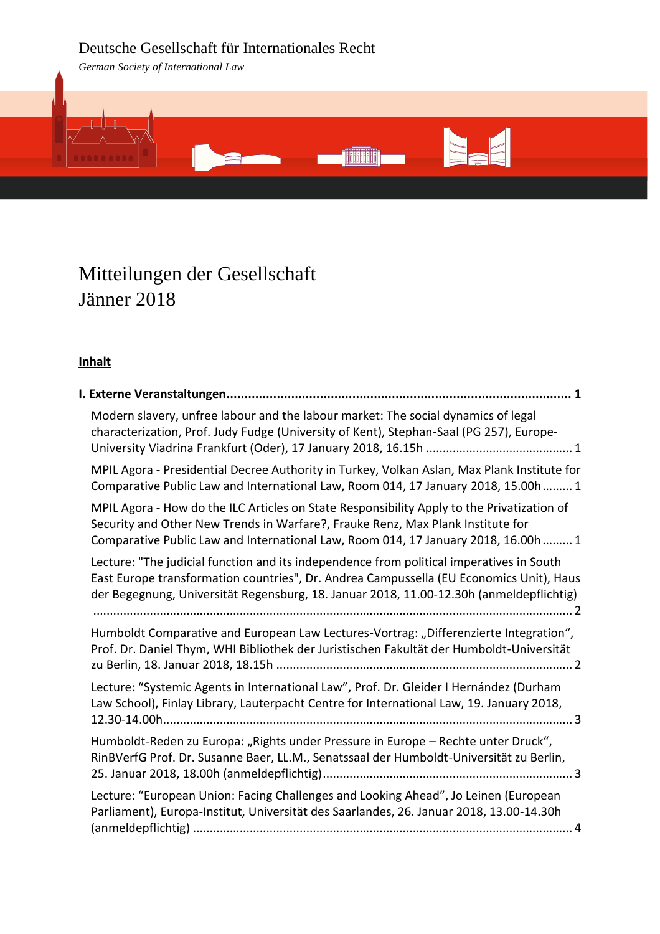# Deutsche Gesellschaft für Internationales Recht

*German Society of International Law*



# Mitteilungen der Gesellschaft Jänner 2018

# **Inhalt**

| Modern slavery, unfree labour and the labour market: The social dynamics of legal<br>characterization, Prof. Judy Fudge (University of Kent), Stephan-Saal (PG 257), Europe-                                                                                                   |  |
|--------------------------------------------------------------------------------------------------------------------------------------------------------------------------------------------------------------------------------------------------------------------------------|--|
| MPIL Agora - Presidential Decree Authority in Turkey, Volkan Aslan, Max Plank Institute for<br>Comparative Public Law and International Law, Room 014, 17 January 2018, 15.00h  1                                                                                              |  |
| MPIL Agora - How do the ILC Articles on State Responsibility Apply to the Privatization of<br>Security and Other New Trends in Warfare?, Frauke Renz, Max Plank Institute for<br>Comparative Public Law and International Law, Room 014, 17 January 2018, 16.00h  1            |  |
| Lecture: "The judicial function and its independence from political imperatives in South<br>East Europe transformation countries", Dr. Andrea Campussella (EU Economics Unit), Haus<br>der Begegnung, Universität Regensburg, 18. Januar 2018, 11.00-12.30h (anmeldepflichtig) |  |
| Humboldt Comparative and European Law Lectures-Vortrag: "Differenzierte Integration",<br>Prof. Dr. Daniel Thym, WHI Bibliothek der Juristischen Fakultät der Humboldt-Universität                                                                                              |  |
| Lecture: "Systemic Agents in International Law", Prof. Dr. Gleider I Hernández (Durham<br>Law School), Finlay Library, Lauterpacht Centre for International Law, 19. January 2018,                                                                                             |  |
| Humboldt-Reden zu Europa: "Rights under Pressure in Europe - Rechte unter Druck",<br>RinBVerfG Prof. Dr. Susanne Baer, LL.M., Senatssaal der Humboldt-Universität zu Berlin,                                                                                                   |  |
| Lecture: "European Union: Facing Challenges and Looking Ahead", Jo Leinen (European<br>Parliament), Europa-Institut, Universität des Saarlandes, 26. Januar 2018, 13.00-14.30h                                                                                                 |  |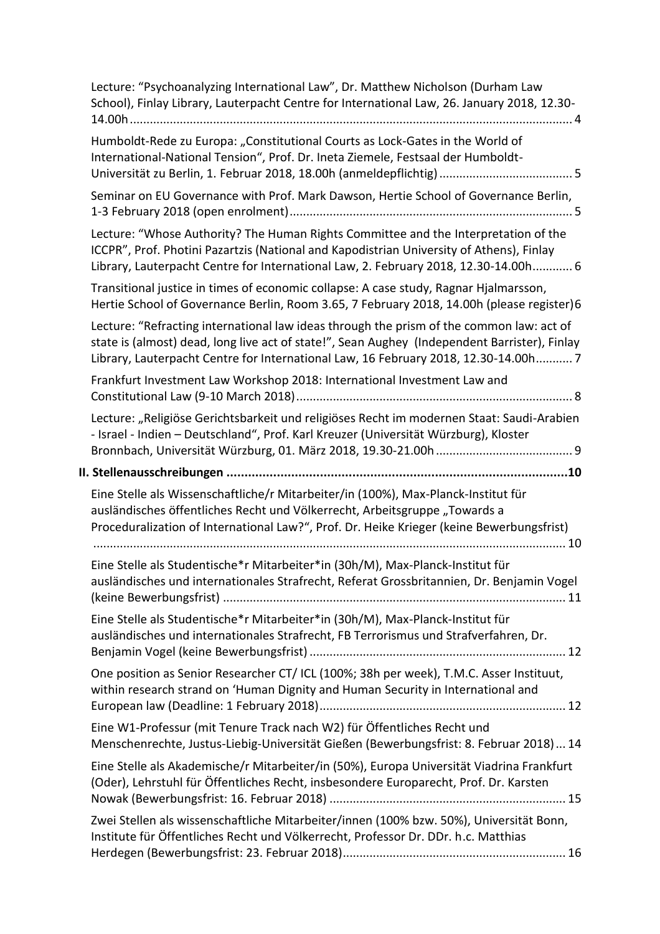| Lecture: "Psychoanalyzing International Law", Dr. Matthew Nicholson (Durham Law<br>School), Finlay Library, Lauterpacht Centre for International Law, 26. January 2018, 12.30-                                                                                                   |
|----------------------------------------------------------------------------------------------------------------------------------------------------------------------------------------------------------------------------------------------------------------------------------|
| Humboldt-Rede zu Europa: "Constitutional Courts as Lock-Gates in the World of<br>International-National Tension", Prof. Dr. Ineta Ziemele, Festsaal der Humboldt-                                                                                                                |
| Seminar on EU Governance with Prof. Mark Dawson, Hertie School of Governance Berlin,                                                                                                                                                                                             |
| Lecture: "Whose Authority? The Human Rights Committee and the Interpretation of the<br>ICCPR", Prof. Photini Pazartzis (National and Kapodistrian University of Athens), Finlay<br>Library, Lauterpacht Centre for International Law, 2. February 2018, 12.30-14.00h 6           |
| Transitional justice in times of economic collapse: A case study, Ragnar Hjalmarsson,<br>Hertie School of Governance Berlin, Room 3.65, 7 February 2018, 14.00h (please register)6                                                                                               |
| Lecture: "Refracting international law ideas through the prism of the common law: act of<br>state is (almost) dead, long live act of state!", Sean Aughey (Independent Barrister), Finlay<br>Library, Lauterpacht Centre for International Law, 16 February 2018, 12.30-14.00h 7 |
| Frankfurt Investment Law Workshop 2018: International Investment Law and                                                                                                                                                                                                         |
| Lecture: "Religiöse Gerichtsbarkeit und religiöses Recht im modernen Staat: Saudi-Arabien<br>- Israel - Indien - Deutschland", Prof. Karl Kreuzer (Universität Würzburg), Kloster                                                                                                |
|                                                                                                                                                                                                                                                                                  |
| Eine Stelle als Wissenschaftliche/r Mitarbeiter/in (100%), Max-Planck-Institut für<br>ausländisches öffentliches Recht und Völkerrecht, Arbeitsgruppe "Towards a<br>Proceduralization of International Law?", Prof. Dr. Heike Krieger (keine Bewerbungsfrist)                    |
|                                                                                                                                                                                                                                                                                  |
| Eine Stelle als Studentische*r Mitarbeiter*in (30h/M), Max-Planck-Institut für<br>ausländisches und internationales Strafrecht, Referat Grossbritannien, Dr. Benjamin Vogel                                                                                                      |
| Eine Stelle als Studentische*r Mitarbeiter*in (30h/M), Max-Planck-Institut für<br>ausländisches und internationales Strafrecht, FB Terrorismus und Strafverfahren, Dr.                                                                                                           |
| One position as Senior Researcher CT/ ICL (100%; 38h per week), T.M.C. Asser Instituut,<br>within research strand on 'Human Dignity and Human Security in International and                                                                                                      |
| Eine W1-Professur (mit Tenure Track nach W2) für Öffentliches Recht und<br>Menschenrechte, Justus-Liebig-Universität Gießen (Bewerbungsfrist: 8. Februar 2018) 14                                                                                                                |
| Eine Stelle als Akademische/r Mitarbeiter/in (50%), Europa Universität Viadrina Frankfurt<br>(Oder), Lehrstuhl für Öffentliches Recht, insbesondere Europarecht, Prof. Dr. Karsten                                                                                               |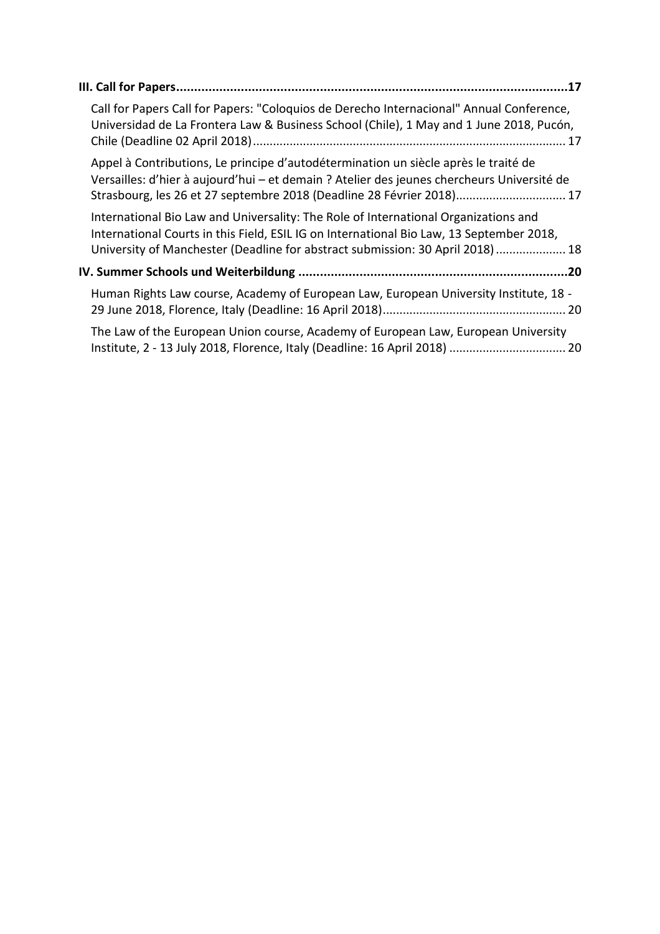| Call for Papers Call for Papers: "Coloquios de Derecho Internacional" Annual Conference,<br>Universidad de La Frontera Law & Business School (Chile), 1 May and 1 June 2018, Pucón,                                                                              |  |
|------------------------------------------------------------------------------------------------------------------------------------------------------------------------------------------------------------------------------------------------------------------|--|
| Appel à Contributions, Le principe d'autodétermination un siècle après le traité de<br>Versailles: d'hier à aujourd'hui - et demain ? Atelier des jeunes chercheurs Université de<br>Strasbourg, les 26 et 27 septembre 2018 (Deadline 28 Février 2018) 17       |  |
| International Bio Law and Universality: The Role of International Organizations and<br>International Courts in this Field, ESIL IG on International Bio Law, 13 September 2018,<br>University of Manchester (Deadline for abstract submission: 30 April 2018) 18 |  |
|                                                                                                                                                                                                                                                                  |  |
| Human Rights Law course, Academy of European Law, European University Institute, 18 -                                                                                                                                                                            |  |
| The Law of the European Union course, Academy of European Law, European University<br>Institute, 2 - 13 July 2018, Florence, Italy (Deadline: 16 April 2018)  20                                                                                                 |  |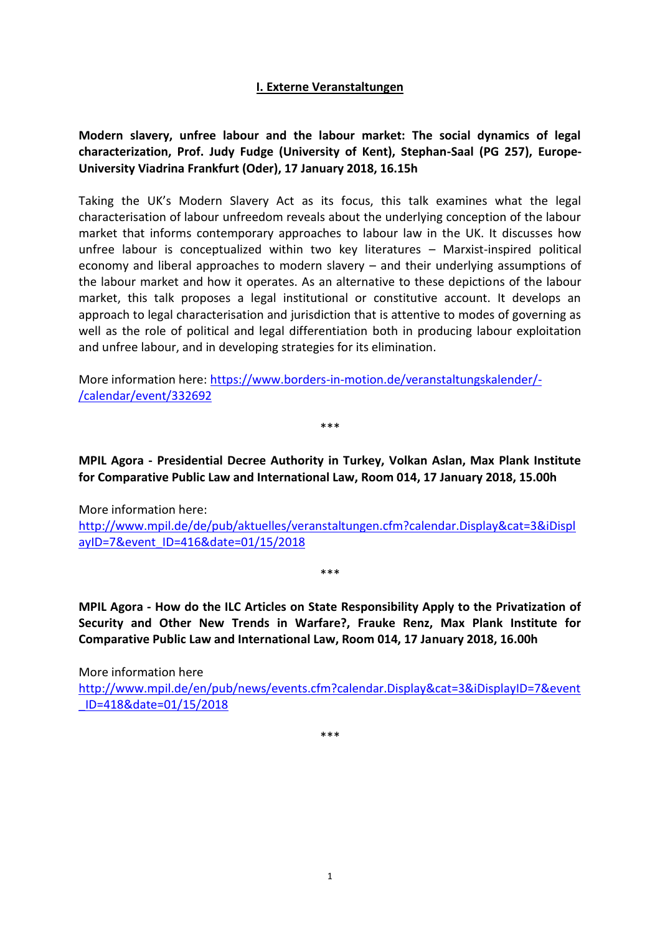### **I. Externe Veranstaltungen**

# <span id="page-3-1"></span><span id="page-3-0"></span>**Modern slavery, unfree labour and the labour market: The social dynamics of legal characterization, Prof. Judy Fudge (University of Kent), Stephan-Saal (PG 257), Europe-University Viadrina Frankfurt (Oder), 17 January 2018, 16.15h**

Taking the UK's Modern Slavery Act as its focus, this talk examines what the legal characterisation of labour unfreedom reveals about the underlying conception of the labour market that informs contemporary approaches to labour law in the UK. It discusses how unfree labour is conceptualized within two key literatures – Marxist-inspired political economy and liberal approaches to modern slavery – and their underlying assumptions of the labour market and how it operates. As an alternative to these depictions of the labour market, this talk proposes a legal institutional or constitutive account. It develops an approach to legal characterisation and jurisdiction that is attentive to modes of governing as well as the role of political and legal differentiation both in producing labour exploitation and unfree labour, and in developing strategies for its elimination.

More information here: [https://www.borders-in-motion.de/veranstaltungskalender/-](https://www.borders-in-motion.de/veranstaltungskalender/-/calendar/event/332692) [/calendar/event/332692](https://www.borders-in-motion.de/veranstaltungskalender/-/calendar/event/332692)

\*\*\*

<span id="page-3-2"></span>**MPIL Agora - Presidential Decree Authority in Turkey, Volkan Aslan, Max Plank Institute for Comparative Public Law and International Law, Room 014, 17 January 2018, 15.00h**

More information here: [http://www.mpil.de/de/pub/aktuelles/veranstaltungen.cfm?calendar.Display&cat=3&iDispl](http://www.mpil.de/de/pub/aktuelles/veranstaltungen.cfm?calendar.Display&cat=3&iDisplayID=7&event_ID=416&date=01/15/2018) [ayID=7&event\\_ID=416&date=01/15/2018](http://www.mpil.de/de/pub/aktuelles/veranstaltungen.cfm?calendar.Display&cat=3&iDisplayID=7&event_ID=416&date=01/15/2018)

\*\*\*

<span id="page-3-3"></span>**MPIL Agora - How do the ILC Articles on State Responsibility Apply to the Privatization of Security and Other New Trends in Warfare?, Frauke Renz, Max Plank Institute for Comparative Public Law and International Law, Room 014, 17 January 2018, 16.00h**

More information here [http://www.mpil.de/en/pub/news/events.cfm?calendar.Display&cat=3&iDisplayID=7&event](http://www.mpil.de/en/pub/news/events.cfm?calendar.Display&cat=3&iDisplayID=7&event_ID=418&date=01/15/2018) [\\_ID=418&date=01/15/2018](http://www.mpil.de/en/pub/news/events.cfm?calendar.Display&cat=3&iDisplayID=7&event_ID=418&date=01/15/2018)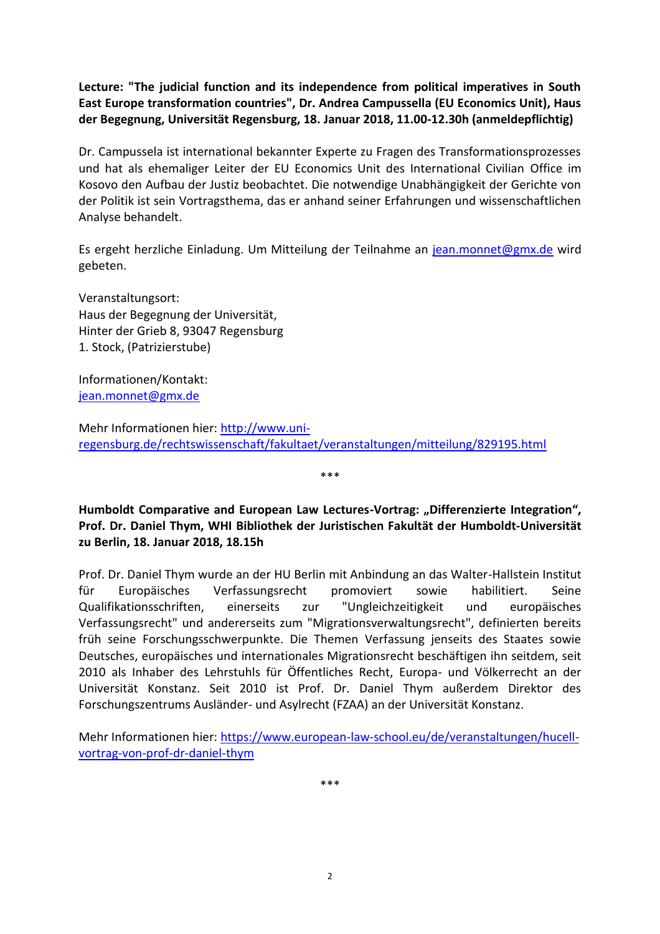<span id="page-4-0"></span>**Lecture: "The judicial function and its independence from political imperatives in South East Europe transformation countries", Dr. Andrea Campussella (EU Economics Unit), Haus der Begegnung, Universität Regensburg, 18. Januar 2018, 11.00-12.30h (anmeldepflichtig)**

Dr. Campussela ist international bekannter Experte zu Fragen des Transformationsprozesses und hat als ehemaliger Leiter der EU Economics Unit des International Civilian Office im Kosovo den Aufbau der Justiz beobachtet. Die notwendige Unabhängigkeit der Gerichte von der Politik ist sein Vortragsthema, das er anhand seiner Erfahrungen und wissenschaftlichen Analyse behandelt.

Es ergeht herzliche Einladung. Um Mitteilung der Teilnahme an [jean.monnet@gmx.de](mailto:jean.monnet@gmx.de) wird gebeten.

Veranstaltungsort: Haus der Begegnung der Universität, Hinter der Grieb 8, 93047 Regensburg 1. Stock, (Patrizierstube)

Informationen/Kontakt: [jean.monnet@gmx.de](mailto:jean.monnet@gmx.de)

Mehr Informationen hier: [http://www.uni](http://www.uni-regensburg.de/rechtswissenschaft/fakultaet/veranstaltungen/mitteilung/829195.html)[regensburg.de/rechtswissenschaft/fakultaet/veranstaltungen/mitteilung/829195.html](http://www.uni-regensburg.de/rechtswissenschaft/fakultaet/veranstaltungen/mitteilung/829195.html)

<span id="page-4-1"></span>**Humboldt Comparative and European Law Lectures-Vortrag: "Differenzierte Integration", Prof. Dr. Daniel Thym, WHI Bibliothek der Juristischen Fakultät der Humboldt-Universität zu Berlin, 18. Januar 2018, 18.15h**

\*\*\*

Prof. Dr. Daniel Thym wurde an der HU Berlin mit Anbindung an das Walter-Hallstein Institut für Europäisches Verfassungsrecht promoviert sowie habilitiert. Seine Qualifikationsschriften, einerseits zur "Ungleichzeitigkeit und europäisches Verfassungsrecht" und andererseits zum "Migrationsverwaltungsrecht", definierten bereits früh seine Forschungsschwerpunkte. Die Themen Verfassung jenseits des Staates sowie Deutsches, europäisches und internationales Migrationsrecht beschäftigen ihn seitdem, seit 2010 als Inhaber des Lehrstuhls für Öffentliches Recht, Europa- und Völkerrecht an der Universität Konstanz. Seit 2010 ist Prof. Dr. Daniel Thym außerdem Direktor des Forschungszentrums Ausländer- und Asylrecht (FZAA) an der Universität Konstanz.

Mehr Informationen hier: [https://www.european-law-school.eu/de/veranstaltungen/hucell](https://www.european-law-school.eu/de/veranstaltungen/hucell-vortrag-von-prof-dr-daniel-thym)[vortrag-von-prof-dr-daniel-thym](https://www.european-law-school.eu/de/veranstaltungen/hucell-vortrag-von-prof-dr-daniel-thym)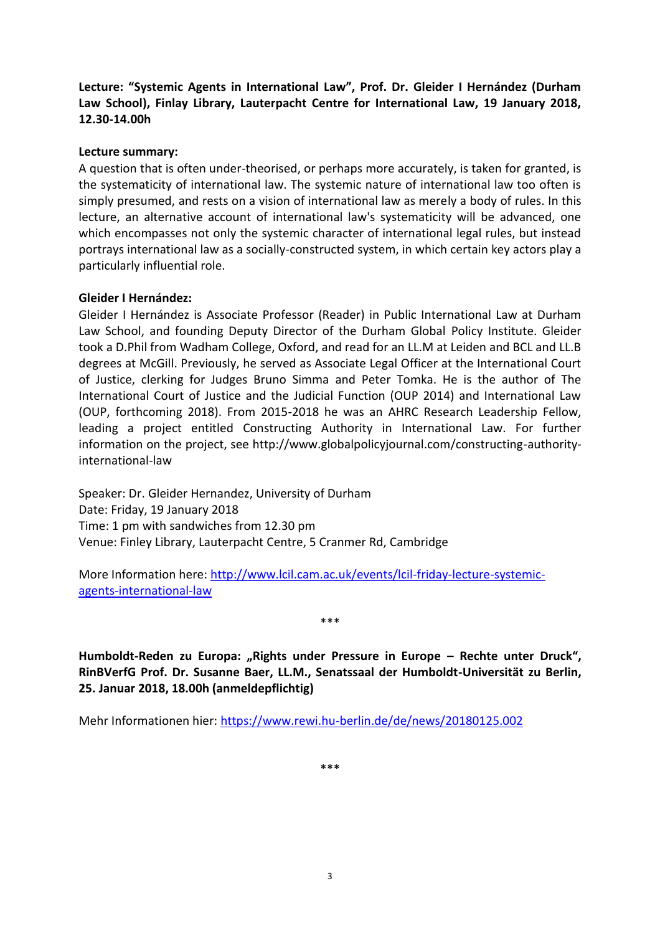<span id="page-5-0"></span>**Lecture: "Systemic Agents in International Law", Prof. Dr. Gleider I Hernández (Durham Law School), Finlay Library, Lauterpacht Centre for International Law, 19 January 2018, 12.30-14.00h**

### **Lecture summary:**

A question that is often under-theorised, or perhaps more accurately, is taken for granted, is the systematicity of international law. The systemic nature of international law too often is simply presumed, and rests on a vision of international law as merely a body of rules. In this lecture, an alternative account of international law's systematicity will be advanced, one which encompasses not only the systemic character of international legal rules, but instead portrays international law as a socially-constructed system, in which certain key actors play a particularly influential role.

### **Gleider I Hernández:**

Gleider I Hernández is Associate Professor (Reader) in Public International Law at Durham Law School, and founding Deputy Director of the Durham Global Policy Institute. Gleider took a D.Phil from Wadham College, Oxford, and read for an LL.M at Leiden and BCL and LL.B degrees at McGill. Previously, he served as Associate Legal Officer at the International Court of Justice, clerking for Judges Bruno Simma and Peter Tomka. He is the author of The International Court of Justice and the Judicial Function (OUP 2014) and International Law (OUP, forthcoming 2018). From 2015-2018 he was an AHRC Research Leadership Fellow, leading a project entitled Constructing Authority in International Law. For further information on the project, see http://www.globalpolicyjournal.com/constructing-authorityinternational-law

Speaker: Dr. Gleider Hernandez, University of Durham Date: Friday, 19 January 2018 Time: 1 pm with sandwiches from 12.30 pm Venue: Finley Library, Lauterpacht Centre, 5 Cranmer Rd, Cambridge

More Information here: [http://www.lcil.cam.ac.uk/events/lcil-friday-lecture-systemic](http://www.lcil.cam.ac.uk/events/lcil-friday-lecture-systemic-agents-international-law)[agents-international-law](http://www.lcil.cam.ac.uk/events/lcil-friday-lecture-systemic-agents-international-law)

\*\*\*

<span id="page-5-1"></span>**Humboldt-Reden zu Europa: "Rights under Pressure in Europe – Rechte unter Druck", RinBVerfG Prof. Dr. Susanne Baer, LL.M., Senatssaal der Humboldt-Universität zu Berlin, 25. Januar 2018, 18.00h (anmeldepflichtig)**

Mehr Informationen hier:<https://www.rewi.hu-berlin.de/de/news/20180125.002>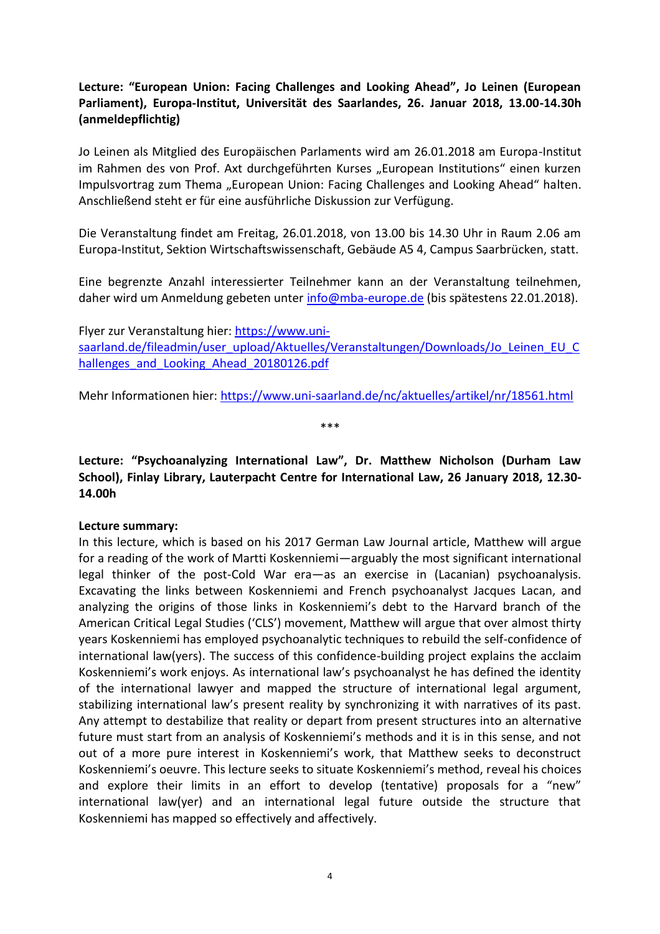# <span id="page-6-0"></span>**Lecture: "European Union: Facing Challenges and Looking Ahead", Jo Leinen (European Parliament), Europa-Institut, Universität des Saarlandes, 26. Januar 2018, 13.00-14.30h (anmeldepflichtig)**

Jo Leinen als Mitglied des Europäischen Parlaments wird am 26.01.2018 am Europa-Institut im Rahmen des von Prof. Axt durchgeführten Kurses "European Institutions" einen kurzen Impulsvortrag zum Thema "European Union: Facing Challenges and Looking Ahead" halten. Anschließend steht er für eine ausführliche Diskussion zur Verfügung.

Die Veranstaltung findet am Freitag, 26.01.2018, von 13.00 bis 14.30 Uhr in Raum 2.06 am Europa-Institut, Sektion Wirtschaftswissenschaft, Gebäude A5 4, Campus Saarbrücken, statt.

Eine begrenzte Anzahl interessierter Teilnehmer kann an der Veranstaltung teilnehmen, daher wird um Anmeldung gebeten unter [info@mba-europe.de](mailto:info@mba-europe.de) (bis spätestens 22.01.2018).

Flyer zur Veranstaltung hier: [https://www.uni](https://www.uni-saarland.de/fileadmin/user_upload/Aktuelles/Veranstaltungen/Downloads/Jo_Leinen_EU_Challenges_and_Looking_Ahead_20180126.pdf)[saarland.de/fileadmin/user\\_upload/Aktuelles/Veranstaltungen/Downloads/Jo\\_Leinen\\_EU\\_C](https://www.uni-saarland.de/fileadmin/user_upload/Aktuelles/Veranstaltungen/Downloads/Jo_Leinen_EU_Challenges_and_Looking_Ahead_20180126.pdf) hallenges and Looking Ahead 20180126.pdf

Mehr Informationen hier:<https://www.uni-saarland.de/nc/aktuelles/artikel/nr/18561.html>

\*\*\*

# <span id="page-6-1"></span>**Lecture: "Psychoanalyzing International Law", Dr. Matthew Nicholson (Durham Law School), Finlay Library, Lauterpacht Centre for International Law, 26 January 2018, 12.30- 14.00h**

### **Lecture summary:**

In this lecture, which is based on his 2017 German Law Journal article, Matthew will argue for a reading of the work of Martti Koskenniemi—arguably the most significant international legal thinker of the post-Cold War era—as an exercise in (Lacanian) psychoanalysis. Excavating the links between Koskenniemi and French psychoanalyst Jacques Lacan, and analyzing the origins of those links in Koskenniemi's debt to the Harvard branch of the American Critical Legal Studies ('CLS') movement, Matthew will argue that over almost thirty years Koskenniemi has employed psychoanalytic techniques to rebuild the self-confidence of international law(yers). The success of this confidence-building project explains the acclaim Koskenniemi's work enjoys. As international law's psychoanalyst he has defined the identity of the international lawyer and mapped the structure of international legal argument, stabilizing international law's present reality by synchronizing it with narratives of its past. Any attempt to destabilize that reality or depart from present structures into an alternative future must start from an analysis of Koskenniemi's methods and it is in this sense, and not out of a more pure interest in Koskenniemi's work, that Matthew seeks to deconstruct Koskenniemi's oeuvre. This lecture seeks to situate Koskenniemi's method, reveal his choices and explore their limits in an effort to develop (tentative) proposals for a "new" international law(yer) and an international legal future outside the structure that Koskenniemi has mapped so effectively and affectively.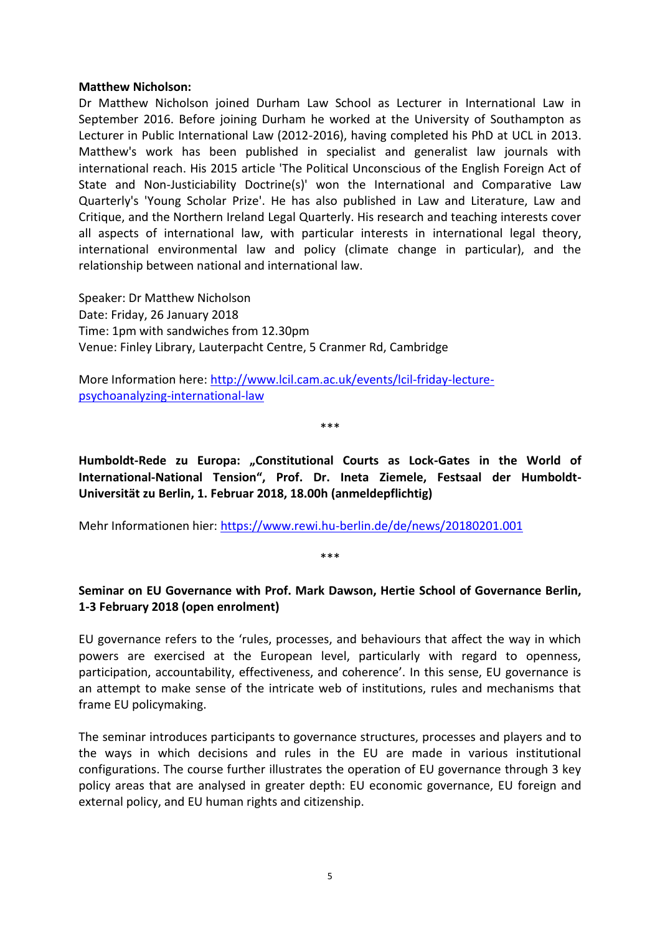#### **Matthew Nicholson:**

Dr Matthew Nicholson joined Durham Law School as Lecturer in International Law in September 2016. Before joining Durham he worked at the University of Southampton as Lecturer in Public International Law (2012-2016), having completed his PhD at UCL in 2013. Matthew's work has been published in specialist and generalist law journals with international reach. His 2015 article 'The Political Unconscious of the English Foreign Act of State and Non-Justiciability Doctrine(s)' won the International and Comparative Law Quarterly's 'Young Scholar Prize'. He has also published in Law and Literature, Law and Critique, and the Northern Ireland Legal Quarterly. His research and teaching interests cover all aspects of international law, with particular interests in international legal theory, international environmental law and policy (climate change in particular), and the relationship between national and international law.

Speaker: Dr Matthew Nicholson Date: Friday, 26 January 2018 Time: 1pm with sandwiches from 12.30pm Venue: Finley Library, Lauterpacht Centre, 5 Cranmer Rd, Cambridge

More Information here: [http://www.lcil.cam.ac.uk/events/lcil-friday-lecture](http://www.lcil.cam.ac.uk/events/lcil-friday-lecture-psychoanalyzing-international-law)[psychoanalyzing-international-law](http://www.lcil.cam.ac.uk/events/lcil-friday-lecture-psychoanalyzing-international-law)

\*\*\*

<span id="page-7-0"></span>**Humboldt-Rede zu Europa: "Constitutional Courts as Lock-Gates in the World of International-National Tension", Prof. Dr. Ineta Ziemele, Festsaal der Humboldt-Universität zu Berlin, 1. Februar 2018, 18.00h (anmeldepflichtig)**

Mehr Informationen hier:<https://www.rewi.hu-berlin.de/de/news/20180201.001>

# <span id="page-7-1"></span>**Seminar on EU Governance with Prof. Mark Dawson, Hertie School of Governance Berlin, 1-3 February 2018 (open enrolment)**

\*\*\*

EU governance refers to the 'rules, processes, and behaviours that affect the way in which powers are exercised at the European level, particularly with regard to openness, participation, accountability, effectiveness, and coherence'. In this sense, EU governance is an attempt to make sense of the intricate web of institutions, rules and mechanisms that frame EU policymaking.

The seminar introduces participants to governance structures, processes and players and to the ways in which decisions and rules in the EU are made in various institutional configurations. The course further illustrates the operation of EU governance through 3 key policy areas that are analysed in greater depth: EU economic governance, EU foreign and external policy, and EU human rights and citizenship.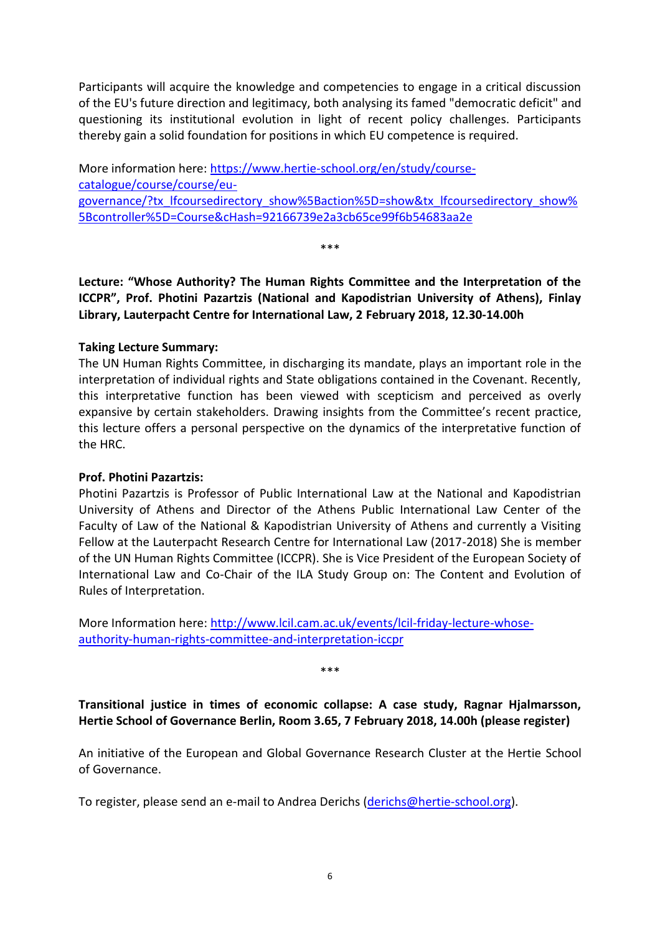Participants will acquire the knowledge and competencies to engage in a critical discussion of the EU's future direction and legitimacy, both analysing its famed "democratic deficit" and questioning its institutional evolution in light of recent policy challenges. Participants thereby gain a solid foundation for positions in which EU competence is required.

More information here: [https://www.hertie-school.org/en/study/course](https://www.hertie-school.org/en/study/course-catalogue/course/course/eu-governance/?tx_lfcoursedirectory_show%5Baction%5D=show&tx_lfcoursedirectory_show%5Bcontroller%5D=Course&cHash=92166739e2a3cb65ce99f6b54683aa2e)[catalogue/course/course/eu](https://www.hertie-school.org/en/study/course-catalogue/course/course/eu-governance/?tx_lfcoursedirectory_show%5Baction%5D=show&tx_lfcoursedirectory_show%5Bcontroller%5D=Course&cHash=92166739e2a3cb65ce99f6b54683aa2e)[governance/?tx\\_lfcoursedirectory\\_show%5Baction%5D=show&tx\\_lfcoursedirectory\\_show%](https://www.hertie-school.org/en/study/course-catalogue/course/course/eu-governance/?tx_lfcoursedirectory_show%5Baction%5D=show&tx_lfcoursedirectory_show%5Bcontroller%5D=Course&cHash=92166739e2a3cb65ce99f6b54683aa2e) [5Bcontroller%5D=Course&cHash=92166739e2a3cb65ce99f6b54683aa2e](https://www.hertie-school.org/en/study/course-catalogue/course/course/eu-governance/?tx_lfcoursedirectory_show%5Baction%5D=show&tx_lfcoursedirectory_show%5Bcontroller%5D=Course&cHash=92166739e2a3cb65ce99f6b54683aa2e)

\*\*\*

<span id="page-8-0"></span>**Lecture: "Whose Authority? The Human Rights Committee and the Interpretation of the ICCPR", Prof. Photini Pazartzis (National and Kapodistrian University of Athens), Finlay Library, Lauterpacht Centre for International Law, 2 February 2018, 12.30-14.00h**

### **Taking Lecture Summary:**

The UN Human Rights Committee, in discharging its mandate, plays an important role in the interpretation of individual rights and State obligations contained in the Covenant. Recently, this interpretative function has been viewed with scepticism and perceived as overly expansive by certain stakeholders. Drawing insights from the Committee's recent practice, this lecture offers a personal perspective on the dynamics of the interpretative function of the HRC.

# **Prof. Photini Pazartzis:**

Photini Pazartzis is Professor of Public International Law at the National and Kapodistrian University of Athens and Director of the Athens Public International Law Center of the Faculty of Law of the National & Kapodistrian University of Athens and currently a Visiting Fellow at the Lauterpacht Research Centre for International Law (2017-2018) She is member of the UN Human Rights Committee (ICCPR). She is Vice President of the European Society of International Law and Co-Chair of the ILA Study Group on: The Content and Evolution of Rules of Interpretation.

More Information here: [http://www.lcil.cam.ac.uk/events/lcil-friday-lecture-whose](http://www.lcil.cam.ac.uk/events/lcil-friday-lecture-whose-authority-human-rights-committee-and-interpretation-iccpr)[authority-human-rights-committee-and-interpretation-iccpr](http://www.lcil.cam.ac.uk/events/lcil-friday-lecture-whose-authority-human-rights-committee-and-interpretation-iccpr)

\*\*\*

<span id="page-8-1"></span>**Transitional justice in times of economic collapse: A case study, Ragnar Hjalmarsson, Hertie School of Governance Berlin, Room 3.65, 7 February 2018, 14.00h (please register)**

An initiative of the European and Global Governance Research Cluster at the Hertie School of Governance.

To register, please send an e-mail to Andrea Derichs [\(derichs@hertie-school.org\)](mailto:derichs@hertie-school.org).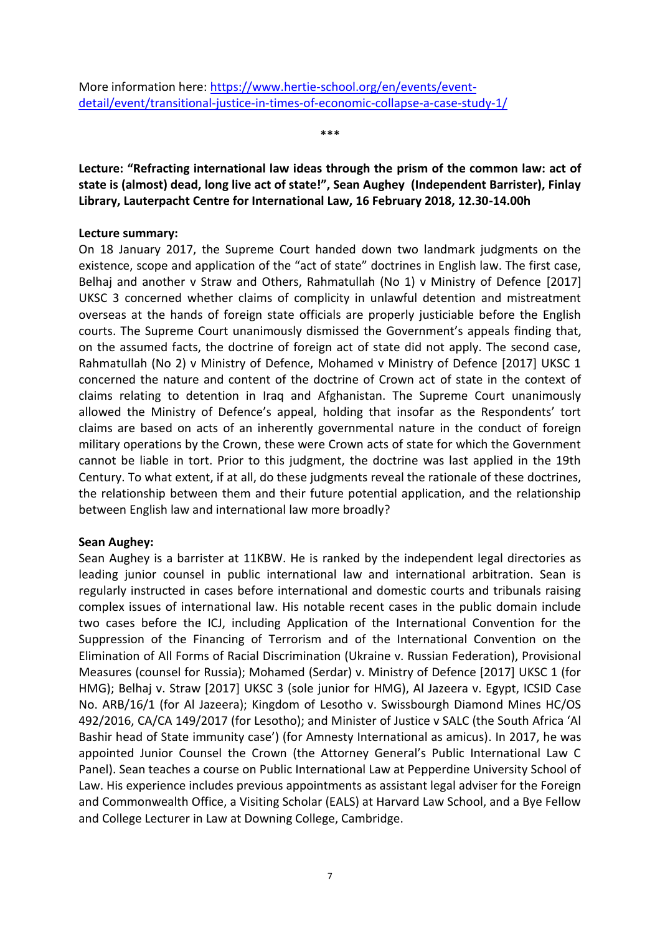<span id="page-9-0"></span>**Lecture: "Refracting international law ideas through the prism of the common law: act of state is (almost) dead, long live act of state!", Sean Aughey (Independent Barrister), Finlay Library, Lauterpacht Centre for International Law, 16 February 2018, 12.30-14.00h**

\*\*\*

### **Lecture summary:**

On 18 January 2017, the Supreme Court handed down two landmark judgments on the existence, scope and application of the "act of state" doctrines in English law. The first case, Belhaj and another v Straw and Others, Rahmatullah (No 1) v Ministry of Defence [2017] UKSC 3 concerned whether claims of complicity in unlawful detention and mistreatment overseas at the hands of foreign state officials are properly justiciable before the English courts. The Supreme Court unanimously dismissed the Government's appeals finding that, on the assumed facts, the doctrine of foreign act of state did not apply. The second case, Rahmatullah (No 2) v Ministry of Defence, Mohamed v Ministry of Defence [2017] UKSC 1 concerned the nature and content of the doctrine of Crown act of state in the context of claims relating to detention in Iraq and Afghanistan. The Supreme Court unanimously allowed the Ministry of Defence's appeal, holding that insofar as the Respondents' tort claims are based on acts of an inherently governmental nature in the conduct of foreign military operations by the Crown, these were Crown acts of state for which the Government cannot be liable in tort. Prior to this judgment, the doctrine was last applied in the 19th Century. To what extent, if at all, do these judgments reveal the rationale of these doctrines, the relationship between them and their future potential application, and the relationship between English law and international law more broadly?

# **Sean Aughey:**

Sean Aughey is a barrister at 11KBW. He is ranked by the independent legal directories as leading junior counsel in public international law and international arbitration. Sean is regularly instructed in cases before international and domestic courts and tribunals raising complex issues of international law. His notable recent cases in the public domain include two cases before the ICJ, including Application of the International Convention for the Suppression of the Financing of Terrorism and of the International Convention on the Elimination of All Forms of Racial Discrimination (Ukraine v. Russian Federation), Provisional Measures (counsel for Russia); Mohamed (Serdar) v. Ministry of Defence [2017] UKSC 1 (for HMG); Belhaj v. Straw [2017] UKSC 3 (sole junior for HMG), Al Jazeera v. Egypt, ICSID Case No. ARB/16/1 (for Al Jazeera); Kingdom of Lesotho v. Swissbourgh Diamond Mines HC/OS 492/2016, CA/CA 149/2017 (for Lesotho); and Minister of Justice v SALC (the South Africa 'Al Bashir head of State immunity case') (for Amnesty International as amicus). In 2017, he was appointed Junior Counsel the Crown (the Attorney General's Public International Law C Panel). Sean teaches a course on Public International Law at Pepperdine University School of Law. His experience includes previous appointments as assistant legal adviser for the Foreign and Commonwealth Office, a Visiting Scholar (EALS) at Harvard Law School, and a Bye Fellow and College Lecturer in Law at Downing College, Cambridge.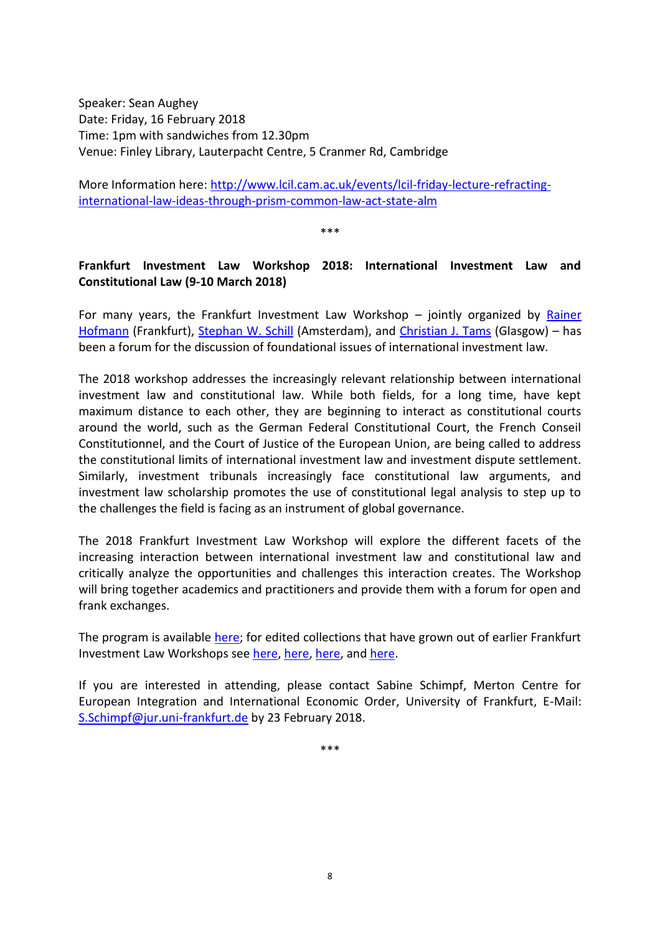Speaker: Sean Aughey Date: Friday, 16 February 2018 Time: 1pm with sandwiches from 12.30pm Venue: Finley Library, Lauterpacht Centre, 5 Cranmer Rd, Cambridge

More Information here: [http://www.lcil.cam.ac.uk/events/lcil-friday-lecture-refracting](http://www.lcil.cam.ac.uk/events/lcil-friday-lecture-refracting-international-law-ideas-through-prism-common-law-act-state-alm)[international-law-ideas-through-prism-common-law-act-state-alm](http://www.lcil.cam.ac.uk/events/lcil-friday-lecture-refracting-international-law-ideas-through-prism-common-law-act-state-alm)

\*\*\*

# <span id="page-10-0"></span>**Frankfurt Investment Law Workshop 2018: International Investment Law and Constitutional Law (9-10 March 2018)**

For many years, the Frankfurt Investment Law Workshop – jointly organized by [Rainer](http://www.jura.uni-frankfurt.de/42774229/person)  [Hofmann](http://www.jura.uni-frankfurt.de/42774229/person) (Frankfurt), [Stephan W. Schill](http://www.uva.nl/en/about-the-uva/organisation/staff-members/content/s/c/s.w.b.schill/s.w.b.schill.html) (Amsterdam), and [Christian J. Tams](http://www.gla.ac.uk/schools/law/staff/christiantams) (Glasgow) – has been a forum for the discussion of foundational issues of international investment law.

The 2018 workshop addresses the increasingly relevant relationship between international investment law and constitutional law. While both fields, for a long time, have kept maximum distance to each other, they are beginning to interact as constitutional courts around the world, such as the German Federal Constitutional Court, the French Conseil Constitutionnel, and the Court of Justice of the European Union, are being called to address the constitutional limits of international investment law and investment dispute settlement. Similarly, investment tribunals increasingly face constitutional law arguments, and investment law scholarship promotes the use of constitutional legal analysis to step up to the challenges the field is facing as an instrument of global governance.

The 2018 Frankfurt Investment Law Workshop will explore the different facets of the increasing interaction between international investment law and constitutional law and critically analyze the opportunities and challenges this interaction creates. The Workshop will bring together academics and practitioners and provide them with a forum for open and frank exchanges.

The program is available [here;](https://www.uni-frankfurt.de/69435674/FILW-2018-IIL-and-Constitutional-Law-Program-final-_9_.pdf) for edited collections that have grown out of earlier Frankfurt Investment Law Workshops see [here,](http://www.e-elgar.com/shop/international-investment-law-and-development) here, here, and [here.](http://www.nomos-shop.de/Hofmann-Schill-Tams-Preferential-Trade-Investment-Agreements/productview.aspx?product=21662/productview.aspx%3fproduct%3d21662)

If you are interested in attending, please contact Sabine Schimpf, Merton Centre for European Integration and International Economic Order, University of Frankfurt, E-Mail: [S.Schimpf@jur.uni-frankfurt.de](https://webmail.mpil.de/owa/redir.aspx?C=hRARfzo15uRdHBIopjp4kAMnC-5FwZ2P6RV8Q4d8WfxVOdkc8DrVCA..&URL=mailto%3aS.Schimpf%40jur.uni-frankfurt.de) by 23 February 2018.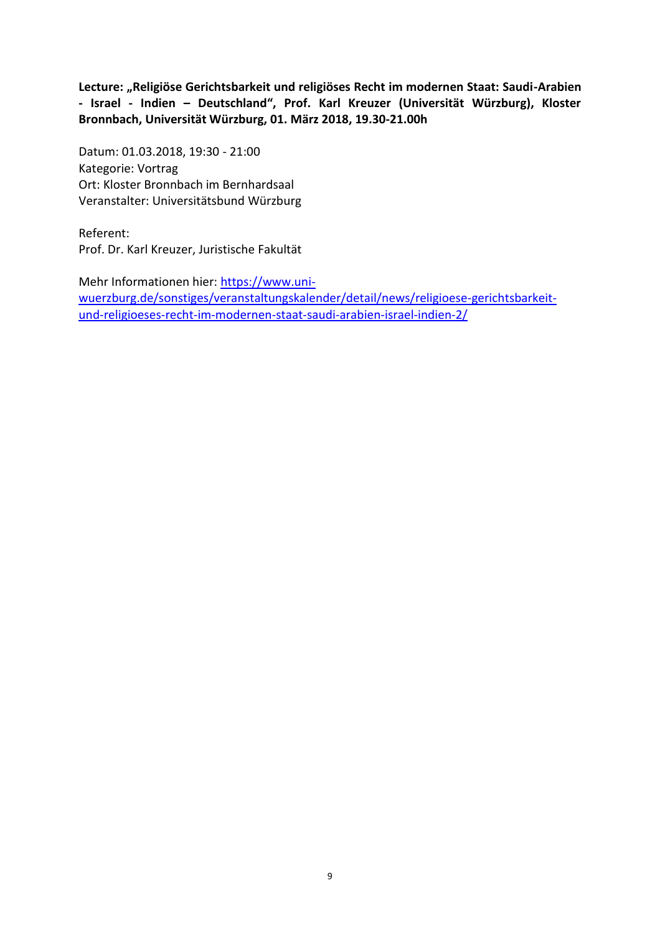<span id="page-11-0"></span>**Lecture: "Religiöse Gerichtsbarkeit und religiöses Recht im modernen Staat: Saudi-Arabien - Israel - Indien – Deutschland", Prof. Karl Kreuzer (Universität Würzburg), Kloster Bronnbach, Universität Würzburg, 01. März 2018, 19.30-21.00h**

Datum: 01.03.2018, 19:30 - 21:00 Kategorie: Vortrag Ort: Kloster Bronnbach im Bernhardsaal Veranstalter: Universitätsbund Würzburg

Referent: Prof. Dr. Karl Kreuzer, Juristische Fakultät

<span id="page-11-1"></span>Mehr Informationen hier: [https://www.uni](https://www.uni-wuerzburg.de/sonstiges/veranstaltungskalender/detail/news/religioese-gerichtsbarkeit-und-religioeses-recht-im-modernen-staat-saudi-arabien-israel-indien-2/)[wuerzburg.de/sonstiges/veranstaltungskalender/detail/news/religioese-gerichtsbarkeit](https://www.uni-wuerzburg.de/sonstiges/veranstaltungskalender/detail/news/religioese-gerichtsbarkeit-und-religioeses-recht-im-modernen-staat-saudi-arabien-israel-indien-2/)[und-religioeses-recht-im-modernen-staat-saudi-arabien-israel-indien-2/](https://www.uni-wuerzburg.de/sonstiges/veranstaltungskalender/detail/news/religioese-gerichtsbarkeit-und-religioeses-recht-im-modernen-staat-saudi-arabien-israel-indien-2/)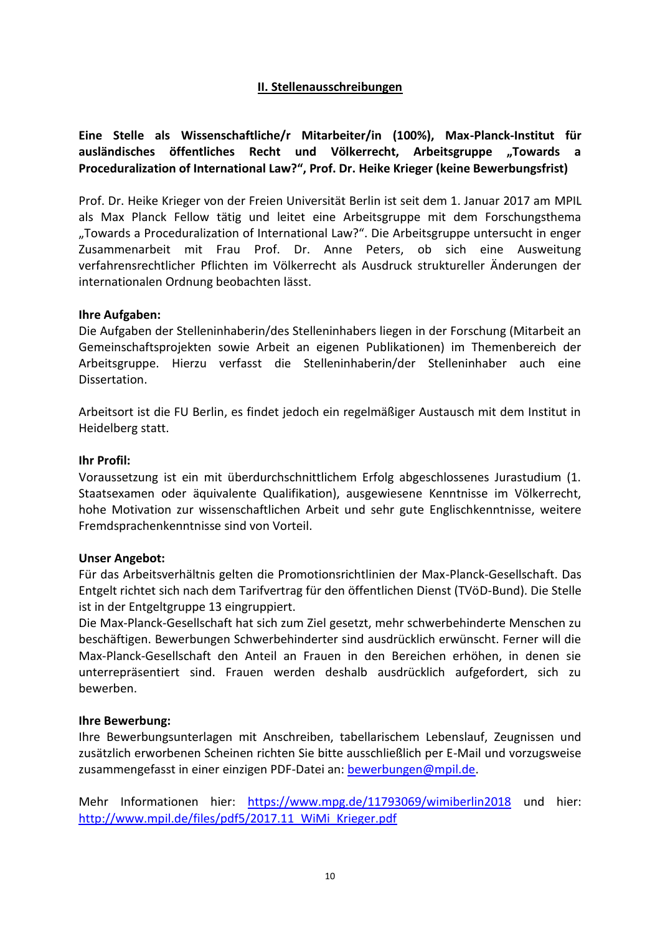# **II. Stellenausschreibungen**

<span id="page-12-0"></span>**Eine Stelle als Wissenschaftliche/r Mitarbeiter/in (100%), Max-Planck-Institut für**  ausländisches öffentliches Recht und Völkerrecht, Arbeitsgruppe "Towards a **Proceduralization of International Law?", Prof. Dr. Heike Krieger (keine Bewerbungsfrist)**

Prof. Dr. Heike Krieger von der Freien Universität Berlin ist seit dem 1. Januar 2017 am MPIL als Max Planck Fellow tätig und leitet eine Arbeitsgruppe mit dem Forschungsthema "Towards a Proceduralization of International Law?". Die Arbeitsgruppe untersucht in enger Zusammenarbeit mit Frau Prof. Dr. Anne Peters, ob sich eine Ausweitung verfahrensrechtlicher Pflichten im Völkerrecht als Ausdruck struktureller Änderungen der internationalen Ordnung beobachten lässt.

### **Ihre Aufgaben:**

Die Aufgaben der Stelleninhaberin/des Stelleninhabers liegen in der Forschung (Mitarbeit an Gemeinschaftsprojekten sowie Arbeit an eigenen Publikationen) im Themenbereich der Arbeitsgruppe. Hierzu verfasst die Stelleninhaberin/der Stelleninhaber auch eine Dissertation.

Arbeitsort ist die FU Berlin, es findet jedoch ein regelmäßiger Austausch mit dem Institut in Heidelberg statt.

#### **Ihr Profil:**

Voraussetzung ist ein mit überdurchschnittlichem Erfolg abgeschlossenes Jurastudium (1. Staatsexamen oder äquivalente Qualifikation), ausgewiesene Kenntnisse im Völkerrecht, hohe Motivation zur wissenschaftlichen Arbeit und sehr gute Englischkenntnisse, weitere Fremdsprachenkenntnisse sind von Vorteil.

### **Unser Angebot:**

Für das Arbeitsverhältnis gelten die Promotionsrichtlinien der Max-Planck-Gesellschaft. Das Entgelt richtet sich nach dem Tarifvertrag für den öffentlichen Dienst (TVöD-Bund). Die Stelle ist in der Entgeltgruppe 13 eingruppiert.

Die Max-Planck-Gesellschaft hat sich zum Ziel gesetzt, mehr schwerbehinderte Menschen zu beschäftigen. Bewerbungen Schwerbehinderter sind ausdrücklich erwünscht. Ferner will die Max-Planck-Gesellschaft den Anteil an Frauen in den Bereichen erhöhen, in denen sie unterrepräsentiert sind. Frauen werden deshalb ausdrücklich aufgefordert, sich zu bewerben.

#### **Ihre Bewerbung:**

Ihre Bewerbungsunterlagen mit Anschreiben, tabellarischem Lebenslauf, Zeugnissen und zusätzlich erworbenen Scheinen richten Sie bitte ausschließlich per E-Mail und vorzugsweise zusammengefasst in einer einzigen PDF-Datei an: [bewerbungen@mpil.de.](mailto:bewerbungen@mpil.de)

Mehr Informationen hier: <https://www.mpg.de/11793069/wimiberlin2018> und hier: [http://www.mpil.de/files/pdf5/2017.11\\_WiMi\\_Krieger.pdf](http://www.mpil.de/files/pdf5/2017.11_WiMi_Krieger.pdf)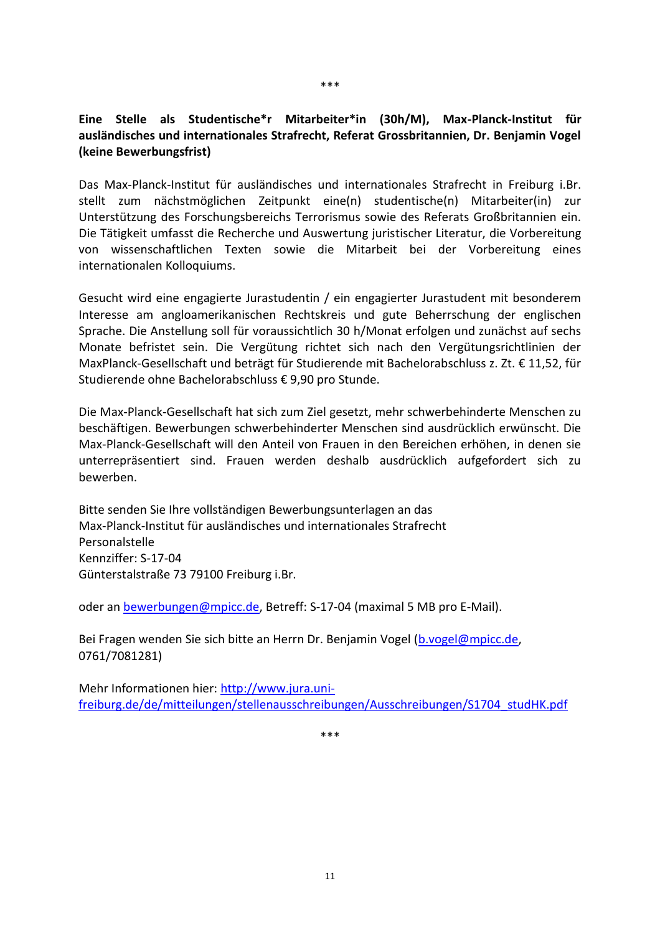# <span id="page-13-0"></span>**Eine Stelle als Studentische\*r Mitarbeiter\*in (30h/M), Max-Planck-Institut für ausländisches und internationales Strafrecht, Referat Grossbritannien, Dr. Benjamin Vogel (keine Bewerbungsfrist)**

Das Max-Planck-Institut für ausländisches und internationales Strafrecht in Freiburg i.Br. stellt zum nächstmöglichen Zeitpunkt eine(n) studentische(n) Mitarbeiter(in) zur Unterstützung des Forschungsbereichs Terrorismus sowie des Referats Großbritannien ein. Die Tätigkeit umfasst die Recherche und Auswertung juristischer Literatur, die Vorbereitung von wissenschaftlichen Texten sowie die Mitarbeit bei der Vorbereitung eines internationalen Kolloquiums.

Gesucht wird eine engagierte Jurastudentin / ein engagierter Jurastudent mit besonderem Interesse am angloamerikanischen Rechtskreis und gute Beherrschung der englischen Sprache. Die Anstellung soll für voraussichtlich 30 h/Monat erfolgen und zunächst auf sechs Monate befristet sein. Die Vergütung richtet sich nach den Vergütungsrichtlinien der MaxPlanck-Gesellschaft und beträgt für Studierende mit Bachelorabschluss z. Zt. € 11,52, für Studierende ohne Bachelorabschluss € 9,90 pro Stunde.

Die Max-Planck-Gesellschaft hat sich zum Ziel gesetzt, mehr schwerbehinderte Menschen zu beschäftigen. Bewerbungen schwerbehinderter Menschen sind ausdrücklich erwünscht. Die Max-Planck-Gesellschaft will den Anteil von Frauen in den Bereichen erhöhen, in denen sie unterrepräsentiert sind. Frauen werden deshalb ausdrücklich aufgefordert sich zu bewerben.

Bitte senden Sie Ihre vollständigen Bewerbungsunterlagen an das Max-Planck-Institut für ausländisches und internationales Strafrecht Personalstelle Kennziffer: S-17-04 Günterstalstraße 73 79100 Freiburg i.Br.

oder an [bewerbungen@mpicc.de,](mailto:bewerbungen@mpicc.de) Betreff: S-17-04 (maximal 5 MB pro E-Mail).

Bei Fragen wenden Sie sich bitte an Herrn Dr. Benjamin Vogel [\(b.vogel@mpicc.de,](mailto:b.vogel@mpicc.de) 0761/7081281)

Mehr Informationen hier: [http://www.jura.uni](http://www.jura.uni-freiburg.de/de/mitteilungen/stellenausschreibungen/Ausschreibungen/S1704_studHK.pdf)[freiburg.de/de/mitteilungen/stellenausschreibungen/Ausschreibungen/S1704\\_studHK.pdf](http://www.jura.uni-freiburg.de/de/mitteilungen/stellenausschreibungen/Ausschreibungen/S1704_studHK.pdf)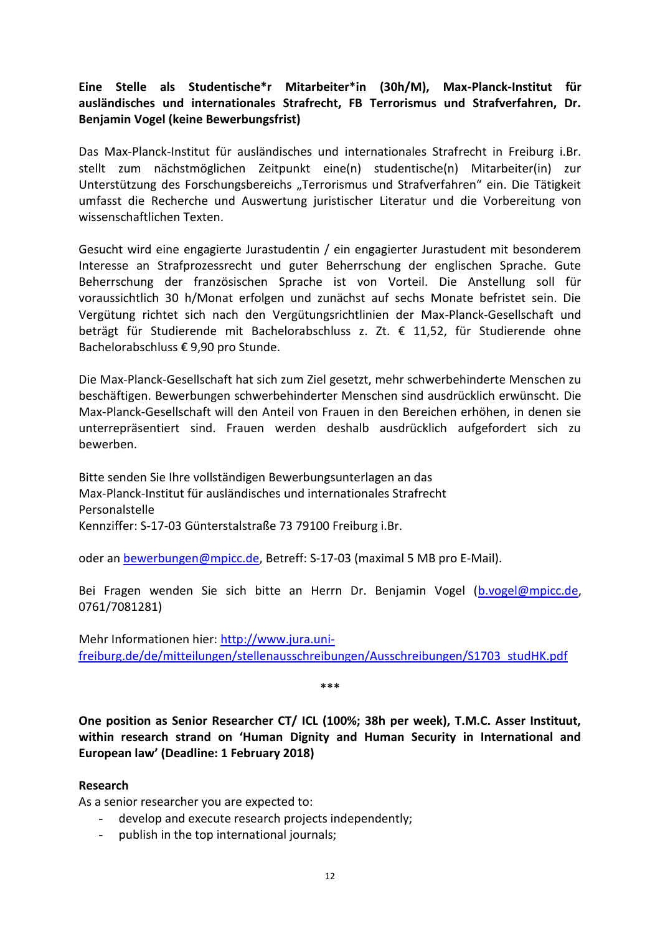# <span id="page-14-0"></span>**Eine Stelle als Studentische\*r Mitarbeiter\*in (30h/M), Max-Planck-Institut für ausländisches und internationales Strafrecht, FB Terrorismus und Strafverfahren, Dr. Benjamin Vogel (keine Bewerbungsfrist)**

Das Max-Planck-Institut für ausländisches und internationales Strafrecht in Freiburg i.Br. stellt zum nächstmöglichen Zeitpunkt eine(n) studentische(n) Mitarbeiter(in) zur Unterstützung des Forschungsbereichs "Terrorismus und Strafverfahren" ein. Die Tätigkeit umfasst die Recherche und Auswertung juristischer Literatur und die Vorbereitung von wissenschaftlichen Texten.

Gesucht wird eine engagierte Jurastudentin / ein engagierter Jurastudent mit besonderem Interesse an Strafprozessrecht und guter Beherrschung der englischen Sprache. Gute Beherrschung der französischen Sprache ist von Vorteil. Die Anstellung soll für voraussichtlich 30 h/Monat erfolgen und zunächst auf sechs Monate befristet sein. Die Vergütung richtet sich nach den Vergütungsrichtlinien der Max-Planck-Gesellschaft und beträgt für Studierende mit Bachelorabschluss z. Zt. € 11,52, für Studierende ohne Bachelorabschluss € 9,90 pro Stunde.

Die Max-Planck-Gesellschaft hat sich zum Ziel gesetzt, mehr schwerbehinderte Menschen zu beschäftigen. Bewerbungen schwerbehinderter Menschen sind ausdrücklich erwünscht. Die Max-Planck-Gesellschaft will den Anteil von Frauen in den Bereichen erhöhen, in denen sie unterrepräsentiert sind. Frauen werden deshalb ausdrücklich aufgefordert sich zu bewerben.

Bitte senden Sie Ihre vollständigen Bewerbungsunterlagen an das Max-Planck-Institut für ausländisches und internationales Strafrecht Personalstelle Kennziffer: S-17-03 Günterstalstraße 73 79100 Freiburg i.Br.

oder an [bewerbungen@mpicc.de,](mailto:bewerbungen@mpicc.de) Betreff: S-17-03 (maximal 5 MB pro E-Mail).

Bei Fragen wenden Sie sich bitte an Herrn Dr. Benjamin Vogel [\(b.vogel@mpicc.de,](mailto:b.vogel@mpicc.de) 0761/7081281)

Mehr Informationen hier: [http://www.jura.uni](http://www.jura.uni-freiburg.de/de/mitteilungen/stellenausschreibungen/Ausschreibungen/S1703_studHK.pdf)[freiburg.de/de/mitteilungen/stellenausschreibungen/Ausschreibungen/S1703\\_studHK.pdf](http://www.jura.uni-freiburg.de/de/mitteilungen/stellenausschreibungen/Ausschreibungen/S1703_studHK.pdf)

\*\*\*

<span id="page-14-1"></span>**One position as Senior Researcher CT/ ICL (100%; 38h per week), T.M.C. Asser Instituut, within research strand on 'Human Dignity and Human Security in International and European law' (Deadline: 1 February 2018)**

### **Research**

As a senior researcher you are expected to:

- develop and execute research projects independently;
- publish in the top international journals;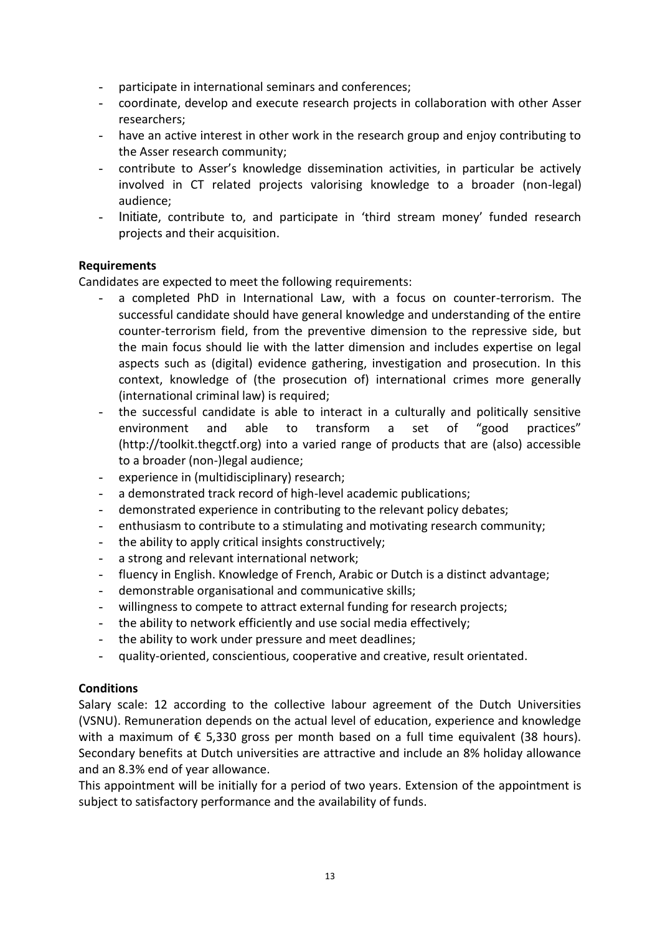- participate in international seminars and conferences;
- coordinate, develop and execute research projects in collaboration with other Asser researchers;
- have an active interest in other work in the research group and enjoy contributing to the Asser research community;
- contribute to Asser's knowledge dissemination activities, in particular be actively involved in CT related projects valorising knowledge to a broader (non-legal) audience;
- Initiate, contribute to, and participate in 'third stream money' funded research projects and their acquisition.

### **Requirements**

Candidates are expected to meet the following requirements:

- a completed PhD in International Law, with a focus on counter-terrorism. The successful candidate should have general knowledge and understanding of the entire counter-terrorism field, from the preventive dimension to the repressive side, but the main focus should lie with the latter dimension and includes expertise on legal aspects such as (digital) evidence gathering, investigation and prosecution. In this context, knowledge of (the prosecution of) international crimes more generally (international criminal law) is required;
- the successful candidate is able to interact in a culturally and politically sensitive environment and able to transform a set of "good practices" (http://toolkit.thegctf.org) into a varied range of products that are (also) accessible to a broader (non-)legal audience;
- experience in (multidisciplinary) research;
- a demonstrated track record of high-level academic publications;
- demonstrated experience in contributing to the relevant policy debates;
- enthusiasm to contribute to a stimulating and motivating research community;
- the ability to apply critical insights constructively;
- a strong and relevant international network;
- fluency in English. Knowledge of French, Arabic or Dutch is a distinct advantage;
- demonstrable organisational and communicative skills;
- willingness to compete to attract external funding for research projects;
- the ability to network efficiently and use social media effectively;
- the ability to work under pressure and meet deadlines;
- quality-oriented, conscientious, cooperative and creative, result orientated.

### **Conditions**

Salary scale: 12 according to the collective labour agreement of the Dutch Universities (VSNU). Remuneration depends on the actual level of education, experience and knowledge with a maximum of  $\epsilon$  5,330 gross per month based on a full time equivalent (38 hours). Secondary benefits at Dutch universities are attractive and include an 8% holiday allowance and an 8.3% end of year allowance.

This appointment will be initially for a period of two years. Extension of the appointment is subject to satisfactory performance and the availability of funds.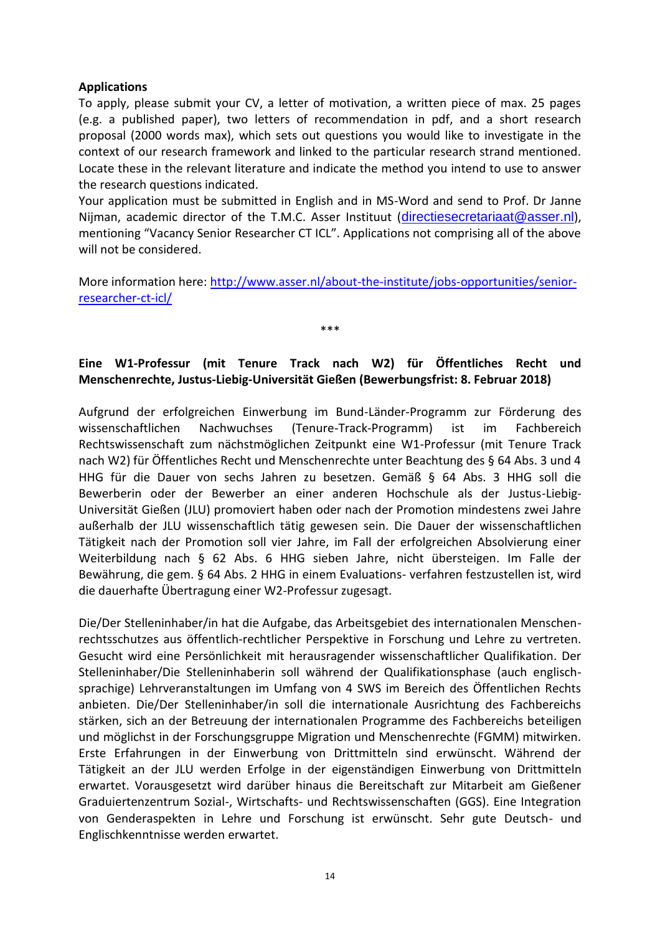### **Applications**

To apply, please submit your CV, a letter of motivation, a written piece of max. 25 pages (e.g. a published paper), two letters of recommendation in pdf, and a short research proposal (2000 words max), which sets out questions you would like to investigate in the context of our research framework and linked to the particular research strand mentioned. Locate these in the relevant literature and indicate the method you intend to use to answer the research questions indicated.

Your application must be submitted in English and in MS-Word and send to Prof. Dr Janne Nijman, academic director of the T.M.C. Asser Instituut ([directiesecretariaat@asser.nl](mailto:directiesecretariaat@asser.nl)), mentioning "Vacancy Senior Researcher CT ICL". Applications not comprising all of the above will not be considered.

More information here: [http://www.asser.nl/about-the-institute/jobs-opportunities/senior](http://www.asser.nl/about-the-institute/jobs-opportunities/senior-researcher-ct-icl/)[researcher-ct-icl/](http://www.asser.nl/about-the-institute/jobs-opportunities/senior-researcher-ct-icl/)

\*\*\*

# <span id="page-16-0"></span>**Eine W1-Professur (mit Tenure Track nach W2) für Öffentliches Recht und Menschenrechte, Justus-Liebig-Universität Gießen (Bewerbungsfrist: 8. Februar 2018)**

Aufgrund der erfolgreichen Einwerbung im Bund-Länder-Programm zur Förderung des wissenschaftlichen Nachwuchses (Tenure-Track-Programm) ist im Fachbereich Rechtswissenschaft zum nächstmöglichen Zeitpunkt eine W1-Professur (mit Tenure Track nach W2) für Öffentliches Recht und Menschenrechte unter Beachtung des § 64 Abs. 3 und 4 HHG für die Dauer von sechs Jahren zu besetzen. Gemäß § 64 Abs. 3 HHG soll die Bewerberin oder der Bewerber an einer anderen Hochschule als der Justus-Liebig-Universität Gießen (JLU) promoviert haben oder nach der Promotion mindestens zwei Jahre außerhalb der JLU wissenschaftlich tätig gewesen sein. Die Dauer der wissenschaftlichen Tätigkeit nach der Promotion soll vier Jahre, im Fall der erfolgreichen Absolvierung einer Weiterbildung nach § 62 Abs. 6 HHG sieben Jahre, nicht übersteigen. Im Falle der Bewährung, die gem. § 64 Abs. 2 HHG in einem Evaluations- verfahren festzustellen ist, wird die dauerhafte Übertragung einer W2-Professur zugesagt.

Die/Der Stelleninhaber/in hat die Aufgabe, das Arbeitsgebiet des internationalen Menschenrechtsschutzes aus öffentlich-rechtlicher Perspektive in Forschung und Lehre zu vertreten. Gesucht wird eine Persönlichkeit mit herausragender wissenschaftlicher Qualifikation. Der Stelleninhaber/Die Stelleninhaberin soll während der Qualifikationsphase (auch englischsprachige) Lehrveranstaltungen im Umfang von 4 SWS im Bereich des Öffentlichen Rechts anbieten. Die/Der Stelleninhaber/in soll die internationale Ausrichtung des Fachbereichs stärken, sich an der Betreuung der internationalen Programme des Fachbereichs beteiligen und möglichst in der Forschungsgruppe Migration und Menschenrechte (FGMM) mitwirken. Erste Erfahrungen in der Einwerbung von Drittmitteln sind erwünscht. Während der Tätigkeit an der JLU werden Erfolge in der eigenständigen Einwerbung von Drittmitteln erwartet. Vorausgesetzt wird darüber hinaus die Bereitschaft zur Mitarbeit am Gießener Graduiertenzentrum Sozial-, Wirtschafts- und Rechtswissenschaften (GGS). Eine Integration von Genderaspekten in Lehre und Forschung ist erwünscht. Sehr gute Deutsch- und Englischkenntnisse werden erwartet.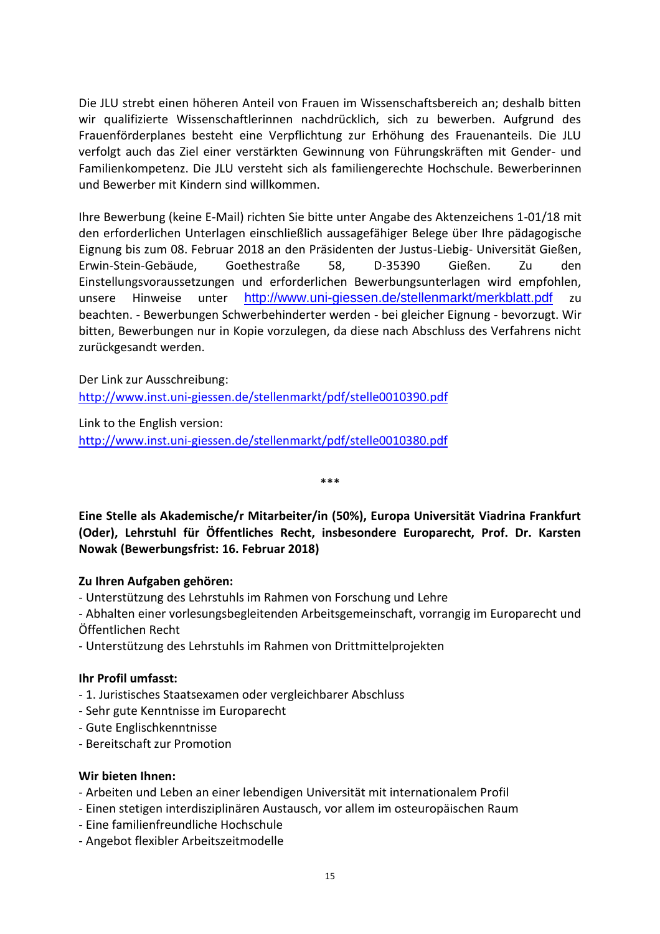Die JLU strebt einen höheren Anteil von Frauen im Wissenschaftsbereich an; deshalb bitten wir qualifizierte Wissenschaftlerinnen nachdrücklich, sich zu bewerben. Aufgrund des Frauenförderplanes besteht eine Verpflichtung zur Erhöhung des Frauenanteils. Die JLU verfolgt auch das Ziel einer verstärkten Gewinnung von Führungskräften mit Gender- und Familienkompetenz. Die JLU versteht sich als familiengerechte Hochschule. Bewerberinnen und Bewerber mit Kindern sind willkommen.

Ihre Bewerbung (keine E-Mail) richten Sie bitte unter Angabe des Aktenzeichens 1-01/18 mit den erforderlichen Unterlagen einschließlich aussagefähiger Belege über Ihre pädagogische Eignung bis zum 08. Februar 2018 an den Präsidenten der Justus-Liebig- Universität Gießen, Erwin-Stein-Gebäude, Goethestraße 58, D-35390 Gießen. Zu den Einstellungsvoraussetzungen und erforderlichen Bewerbungsunterlagen wird empfohlen, unsere Hinweise unter <http://www.uni-giessen.de/stellenmarkt/merkblatt.pdf> zu beachten. - Bewerbungen Schwerbehinderter werden - bei gleicher Eignung - bevorzugt. Wir bitten, Bewerbungen nur in Kopie vorzulegen, da diese nach Abschluss des Verfahrens nicht zurückgesandt werden.

Der Link zur Ausschreibung:

<http://www.inst.uni-giessen.de/stellenmarkt/pdf/stelle0010390.pdf>

Link to the English version: <http://www.inst.uni-giessen.de/stellenmarkt/pdf/stelle0010380.pdf>

<span id="page-17-0"></span>**Eine Stelle als Akademische/r Mitarbeiter/in (50%), Europa Universität Viadrina Frankfurt (Oder), Lehrstuhl für Öffentliches Recht, insbesondere Europarecht, Prof. Dr. Karsten Nowak (Bewerbungsfrist: 16. Februar 2018)**

\*\*\*

### **Zu Ihren Aufgaben gehören:**

- Unterstützung des Lehrstuhls im Rahmen von Forschung und Lehre

- Abhalten einer vorlesungsbegleitenden Arbeitsgemeinschaft, vorrangig im Europarecht und Öffentlichen Recht

- Unterstützung des Lehrstuhls im Rahmen von Drittmittelprojekten

### **Ihr Profil umfasst:**

- 1. Juristisches Staatsexamen oder vergleichbarer Abschluss
- Sehr gute Kenntnisse im Europarecht
- Gute Englischkenntnisse
- Bereitschaft zur Promotion

### **Wir bieten Ihnen:**

- Arbeiten und Leben an einer lebendigen Universität mit internationalem Profil
- Einen stetigen interdisziplinären Austausch, vor allem im osteuropäischen Raum
- Eine familienfreundliche Hochschule
- Angebot flexibler Arbeitszeitmodelle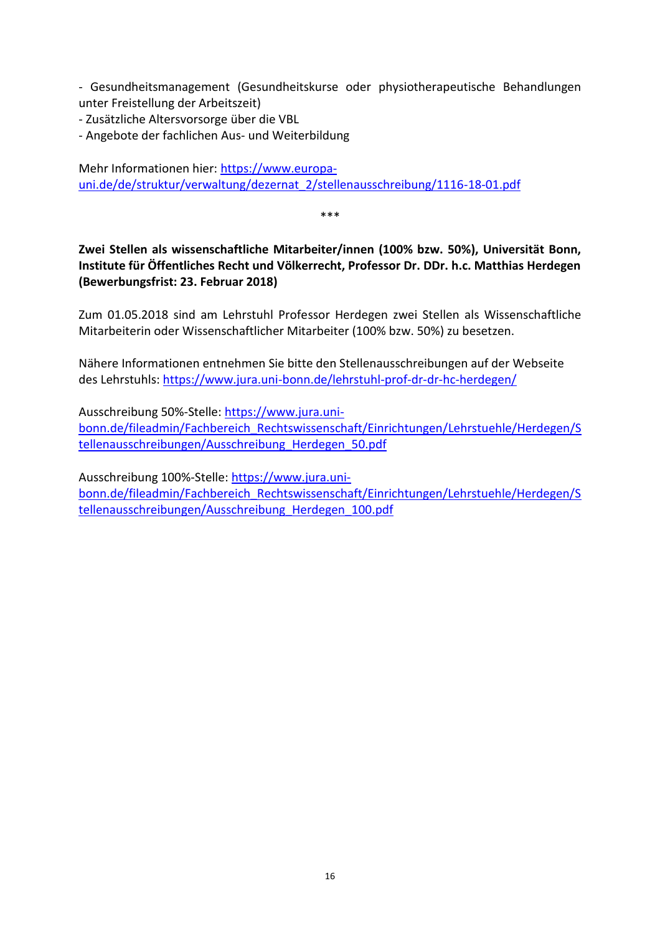- Gesundheitsmanagement (Gesundheitskurse oder physiotherapeutische Behandlungen unter Freistellung der Arbeitszeit)

- Zusätzliche Altersvorsorge über die VBL

- Angebote der fachlichen Aus- und Weiterbildung

Mehr Informationen hier: [https://www.europa](https://www.europa-uni.de/de/struktur/verwaltung/dezernat_2/stellenausschreibung/1116-18-01.pdf)[uni.de/de/struktur/verwaltung/dezernat\\_2/stellenausschreibung/1116-18-01.pdf](https://www.europa-uni.de/de/struktur/verwaltung/dezernat_2/stellenausschreibung/1116-18-01.pdf)

\*\*\*

<span id="page-18-0"></span>**Zwei Stellen als wissenschaftliche Mitarbeiter/innen (100% bzw. 50%), Universität Bonn, Institute für Öffentliches Recht und Völkerrecht, Professor Dr. DDr. h.c. Matthias Herdegen (Bewerbungsfrist: 23. Februar 2018)**

Zum 01.05.2018 sind am Lehrstuhl Professor Herdegen zwei Stellen als Wissenschaftliche Mitarbeiterin oder Wissenschaftlicher Mitarbeiter (100% bzw. 50%) zu besetzen.

Nähere Informationen entnehmen Sie bitte den Stellenausschreibungen auf der Webseite des Lehrstuhls:<https://www.jura.uni-bonn.de/lehrstuhl-prof-dr-dr-hc-herdegen/>

Ausschreibung 50%-Stelle: [https://www.jura.uni](https://www.jura.uni-bonn.de/fileadmin/Fachbereich_Rechtswissenschaft/Einrichtungen/Lehrstuehle/Herdegen/Stellenausschreibungen/Ausschreibung_Herdegen_50.pdf)[bonn.de/fileadmin/Fachbereich\\_Rechtswissenschaft/Einrichtungen/Lehrstuehle/Herdegen/S](https://www.jura.uni-bonn.de/fileadmin/Fachbereich_Rechtswissenschaft/Einrichtungen/Lehrstuehle/Herdegen/Stellenausschreibungen/Ausschreibung_Herdegen_50.pdf) [tellenausschreibungen/Ausschreibung\\_Herdegen\\_50.pdf](https://www.jura.uni-bonn.de/fileadmin/Fachbereich_Rechtswissenschaft/Einrichtungen/Lehrstuehle/Herdegen/Stellenausschreibungen/Ausschreibung_Herdegen_50.pdf)

<span id="page-18-1"></span>Ausschreibung 100%-Stelle: [https://www.jura.uni](https://www.jura.uni-bonn.de/fileadmin/Fachbereich_Rechtswissenschaft/Einrichtungen/Lehrstuehle/Herdegen/Stellenausschreibungen/Ausschreibung_Herdegen_100.pdf)[bonn.de/fileadmin/Fachbereich\\_Rechtswissenschaft/Einrichtungen/Lehrstuehle/Herdegen/S](https://www.jura.uni-bonn.de/fileadmin/Fachbereich_Rechtswissenschaft/Einrichtungen/Lehrstuehle/Herdegen/Stellenausschreibungen/Ausschreibung_Herdegen_100.pdf) [tellenausschreibungen/Ausschreibung\\_Herdegen\\_100.pdf](https://www.jura.uni-bonn.de/fileadmin/Fachbereich_Rechtswissenschaft/Einrichtungen/Lehrstuehle/Herdegen/Stellenausschreibungen/Ausschreibung_Herdegen_100.pdf)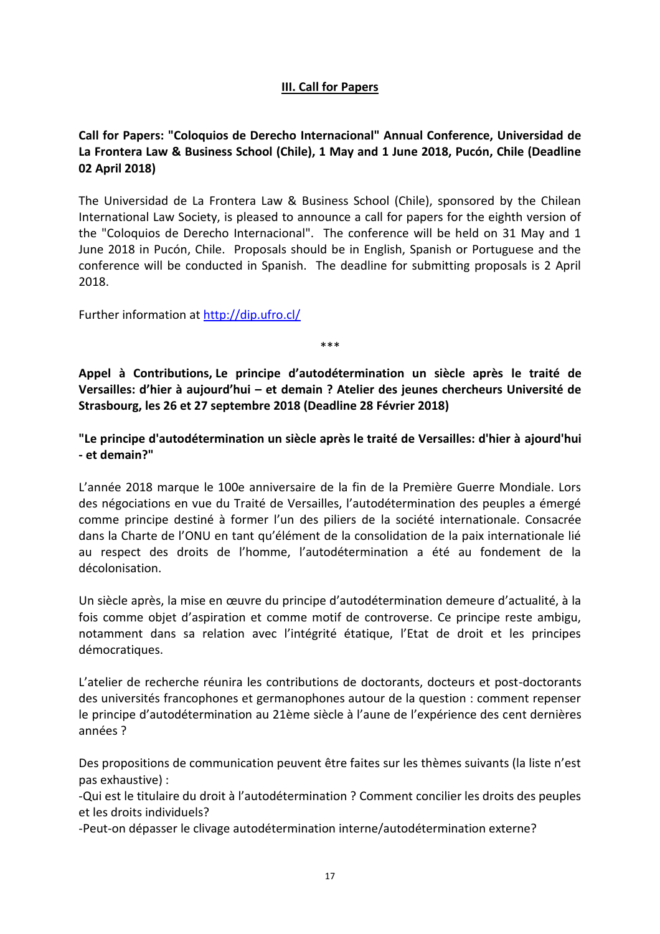# **III. Call for Papers**

# <span id="page-19-0"></span>**Call for Papers: "Coloquios de Derecho Internacional" Annual Conference, Universidad de La Frontera Law & Business School (Chile), 1 May and 1 June 2018, Pucón, Chile (Deadline 02 April 2018)**

The Universidad de La Frontera Law & Business School (Chile), sponsored by the Chilean International Law Society, is pleased to announce a call for papers for the eighth version of the "Coloquios de Derecho Internacional". The conference will be held on 31 May and 1 June 2018 in Pucón, Chile. Proposals should be in English, Spanish or Portuguese and the conference will be conducted in Spanish. The deadline for submitting proposals is 2 April 2018.

Further information at<http://dip.ufro.cl/>

\*\*\*

<span id="page-19-1"></span>**Appel à Contributions, Le principe d'autodétermination un siècle après le traité de Versailles: d'hier à aujourd'hui – et demain ? Atelier des jeunes chercheurs Université de Strasbourg, les 26 et 27 septembre 2018 (Deadline 28 Février 2018)**

**"Le principe d'autodétermination un siècle après le traité de Versailles: d'hier à ajourd'hui - et demain?"**

L'année 2018 marque le 100e anniversaire de la fin de la Première Guerre Mondiale. Lors des négociations en vue du Traité de Versailles, l'autodétermination des peuples a émergé comme principe destiné à former l'un des piliers de la société internationale. Consacrée dans la Charte de l'ONU en tant qu'élément de la consolidation de la paix internationale lié au respect des droits de l'homme, l'autodétermination a été au fondement de la décolonisation.

Un siècle après, la mise en œuvre du principe d'autodétermination demeure d'actualité, à la fois comme objet d'aspiration et comme motif de controverse. Ce principe reste ambigu, notamment dans sa relation avec l'intégrité étatique, l'Etat de droit et les principes démocratiques.

L'atelier de recherche réunira les contributions de doctorants, docteurs et post-doctorants des universités francophones et germanophones autour de la question : comment repenser le principe d'autodétermination au 21ème siècle à l'aune de l'expérience des cent dernières années ?

Des propositions de communication peuvent être faites sur les thèmes suivants (la liste n'est pas exhaustive) :

-Qui est le titulaire du droit à l'autodétermination ? Comment concilier les droits des peuples et les droits individuels?

-Peut-on dépasser le clivage autodétermination interne/autodétermination externe?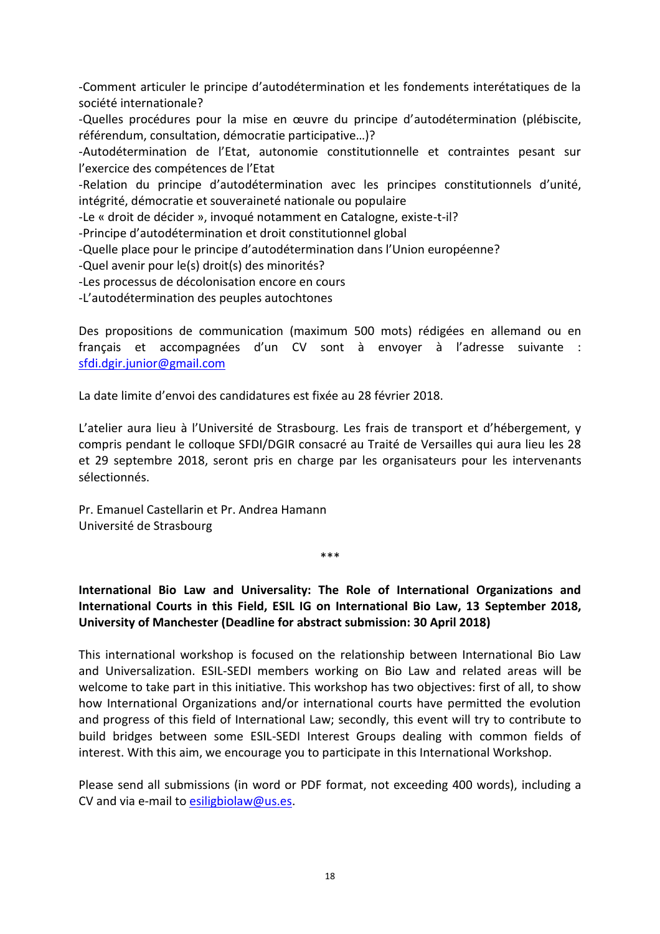-Comment articuler le principe d'autodétermination et les fondements interétatiques de la société internationale?

-Quelles procédures pour la mise en œuvre du principe d'autodétermination (plébiscite, référendum, consultation, démocratie participative…)?

-Autodétermination de l'Etat, autonomie constitutionnelle et contraintes pesant sur l'exercice des compétences de l'Etat

-Relation du principe d'autodétermination avec les principes constitutionnels d'unité, intégrité, démocratie et souveraineté nationale ou populaire

-Le « droit de décider », invoqué notamment en Catalogne, existe-t-il?

-Principe d'autodétermination et droit constitutionnel global

-Quelle place pour le principe d'autodétermination dans l'Union européenne?

-Quel avenir pour le(s) droit(s) des minorités?

-Les processus de décolonisation encore en cours

-L'autodétermination des peuples autochtones

Des propositions de communication (maximum 500 mots) rédigées en allemand ou en français et accompagnées d'un CV sont à envoyer à l'adresse suivante : [sfdi.dgir.junior@gmail.com](mailto:sfdi.dgir.junior@gmail.com)

La date limite d'envoi des candidatures est fixée au 28 février 2018.

L'atelier aura lieu à l'Université de Strasbourg. Les frais de transport et d'hébergement, y compris pendant le colloque SFDI/DGIR consacré au Traité de Versailles qui aura lieu les 28 et 29 septembre 2018, seront pris en charge par les organisateurs pour les intervenants sélectionnés.

Pr. Emanuel Castellarin et Pr. Andrea Hamann Université de Strasbourg

\*\*\*

# <span id="page-20-0"></span>**International Bio Law and Universality: The Role of International Organizations and International Courts in this Field, ESIL IG on International Bio Law, 13 September 2018, University of Manchester (Deadline for abstract submission: 30 April 2018)**

This international workshop is focused on the relationship between International Bio Law and Universalization. ESIL-SEDI members working on Bio Law and related areas will be welcome to take part in this initiative. This workshop has two objectives: first of all, to show how International Organizations and/or international courts have permitted the evolution and progress of this field of International Law; secondly, this event will try to contribute to build bridges between some ESIL-SEDI Interest Groups dealing with common fields of interest. With this aim, we encourage you to participate in this International Workshop.

Please send all submissions (in word or PDF format, not exceeding 400 words), including a CV and via e-mail to [esiligbiolaw@us.es.](mailto:esiligbiolaw@us.es)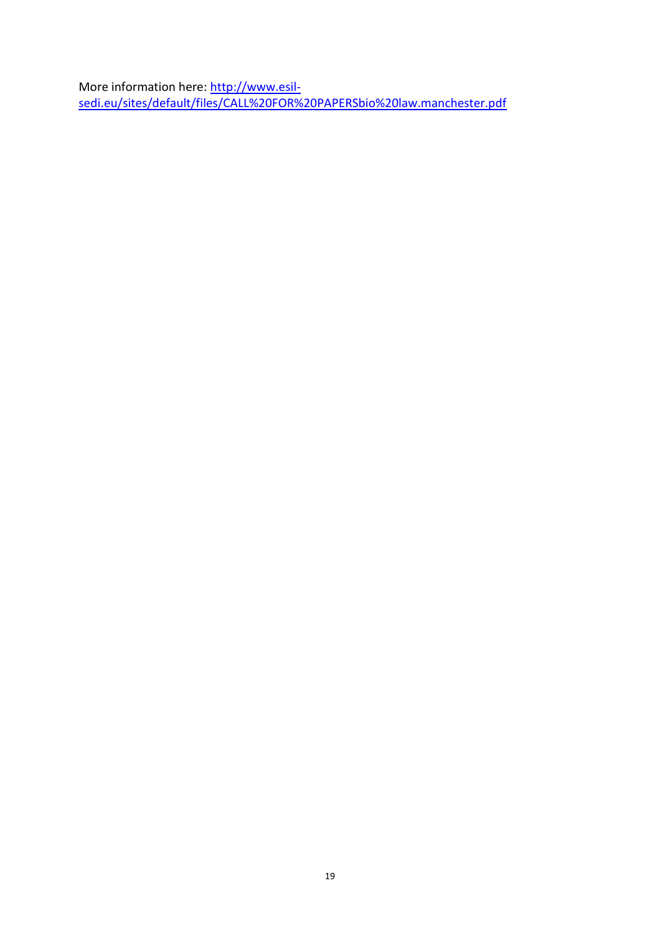<span id="page-21-0"></span>More information here: [http://www.esil](http://www.esil-sedi.eu/sites/default/files/CALL%20FOR%20PAPERSbio%20law.manchester.pdf)[sedi.eu/sites/default/files/CALL%20FOR%20PAPERSbio%20law.manchester.pdf](http://www.esil-sedi.eu/sites/default/files/CALL%20FOR%20PAPERSbio%20law.manchester.pdf)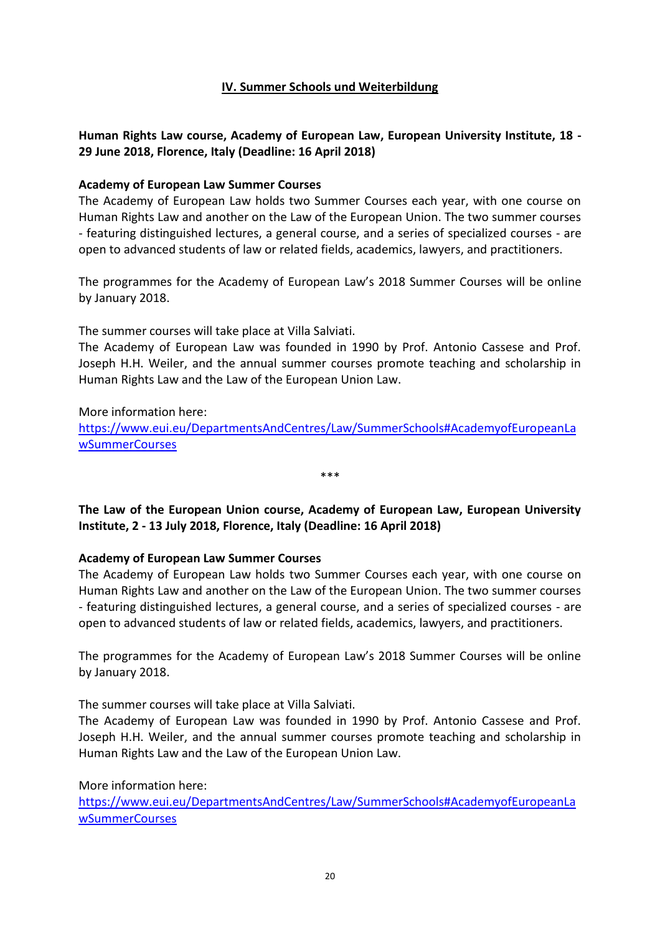# **IV. Summer Schools und Weiterbildung**

# <span id="page-22-0"></span>**Human Rights Law course, Academy of European Law, European University Institute, 18 - 29 June 2018, Florence, Italy (Deadline: 16 April 2018)**

### **Academy of European Law Summer Courses**

The Academy of European Law holds two Summer Courses each year, with one course on Human Rights Law and another on the Law of the European Union. The two summer courses - featuring distinguished lectures, a general course, and a series of specialized courses - are open to advanced students of law or related fields, academics, lawyers, and practitioners.

The programmes for the Academy of European Law's 2018 Summer Courses will be online by January 2018.

The summer courses will take place at Villa Salviati.

The Academy of European Law was founded in 1990 by Prof. Antonio Cassese and Prof. Joseph H.H. Weiler, and the annual summer courses promote teaching and scholarship in Human Rights Law and the Law of the European Union Law.

More information here: [https://www.eui.eu/DepartmentsAndCentres/Law/SummerSchools#AcademyofEuropeanLa](https://www.eui.eu/DepartmentsAndCentres/Law/SummerSchools#AcademyofEuropeanLawSummerCourses) [wSummerCourses](https://www.eui.eu/DepartmentsAndCentres/Law/SummerSchools#AcademyofEuropeanLawSummerCourses)

\*\*\*

<span id="page-22-1"></span>**The Law of the European Union course, Academy of European Law, European University Institute, 2 - 13 July 2018, Florence, Italy (Deadline: 16 April 2018)**

### **Academy of European Law Summer Courses**

The Academy of European Law holds two Summer Courses each year, with one course on Human Rights Law and another on the Law of the European Union. The two summer courses - featuring distinguished lectures, a general course, and a series of specialized courses - are open to advanced students of law or related fields, academics, lawyers, and practitioners.

The programmes for the Academy of European Law's 2018 Summer Courses will be online by January 2018.

The summer courses will take place at Villa Salviati.

The Academy of European Law was founded in 1990 by Prof. Antonio Cassese and Prof. Joseph H.H. Weiler, and the annual summer courses promote teaching and scholarship in Human Rights Law and the Law of the European Union Law.

More information here:

[https://www.eui.eu/DepartmentsAndCentres/Law/SummerSchools#AcademyofEuropeanLa](https://www.eui.eu/DepartmentsAndCentres/Law/SummerSchools#AcademyofEuropeanLawSummerCourses) [wSummerCourses](https://www.eui.eu/DepartmentsAndCentres/Law/SummerSchools#AcademyofEuropeanLawSummerCourses)